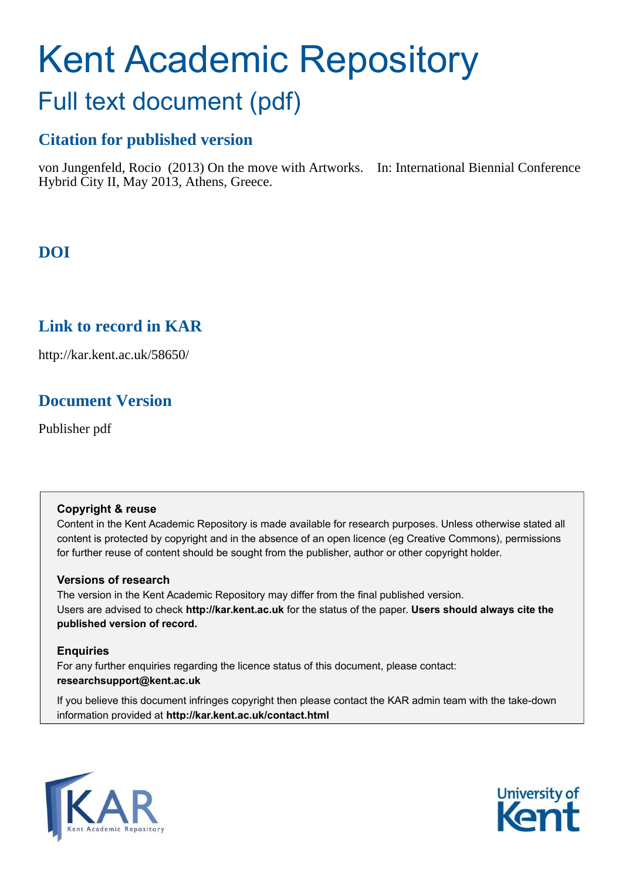# Kent Academic Repository Full text document (pdf)

## **Citation for published version**

von Jungenfeld, Rocio (2013) On the move with Artworks. In: International Biennial Conference Hybrid City II, May 2013, Athens, Greece.

# **DOI**

### **Link to record in KAR**

http://kar.kent.ac.uk/58650/

### **Document Version**

Publisher pdf

### **Copyright & reuse**

Content in the Kent Academic Repository is made available for research purposes. Unless otherwise stated all content is protected by copyright and in the absence of an open licence (eg Creative Commons), permissions for further reuse of content should be sought from the publisher, author or other copyright holder.

### **Versions of research**

The version in the Kent Academic Repository may differ from the final published version. Users are advised to check **http://kar.kent.ac.uk** for the status of the paper. **Users should always cite the published version of record.**

### **Enquiries**

For any further enquiries regarding the licence status of this document, please contact: **researchsupport@kent.ac.uk**

If you believe this document infringes copyright then please contact the KAR admin team with the take-down information provided at **http://kar.kent.ac.uk/contact.html**



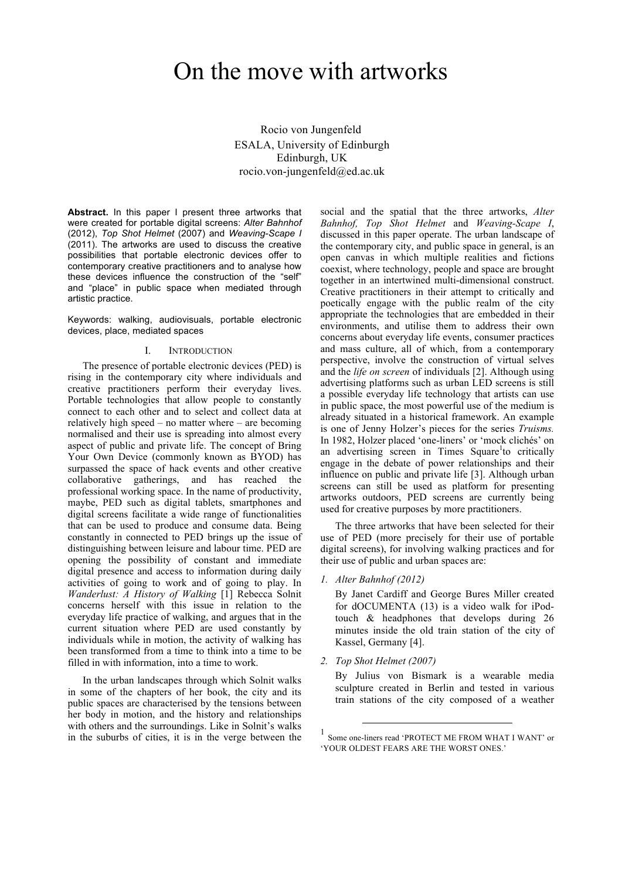# On the move with artworks

Rocio von Jungenfeld ESALA, University of Edinburgh Edinburgh, UK rocio.von-jungenfeld@ed.ac.uk

**Abstract.** In this paper I present three artworks that were created for portable digital screens: *Alter Bahnhof* (2012), *Top Shot Helmet* (2007) and *Weaving-Scape I* (2011). The artworks are used to discuss the creative possibilities that portable electronic devices offer to contemporary creative practitioners and to analyse how these devices influence the construction of the "self" and "place" in public space when mediated through artistic practice.

Keywords: walking, audiovisuals, portable electronic devices, place, mediated spaces

#### I. INTRODUCTION

The presence of portable electronic devices (PED) is rising in the contemporary city where individuals and creative practitioners perform their everyday lives. Portable technologies that allow people to constantly connect to each other and to select and collect data at relatively high speed – no matter where – are becoming normalised and their use is spreading into almost every aspect of public and private life. The concept of Bring Your Own Device (commonly known as BYOD) has surpassed the space of hack events and other creative collaborative gatherings, and has reached the professional working space. In the name of productivity, maybe, PED such as digital tablets, smartphones and digital screens facilitate a wide range of functionalities that can be used to produce and consume data. Being constantly in connected to PED brings up the issue of distinguishing between leisure and labour time. PED are opening the possibility of constant and immediate digital presence and access to information during daily activities of going to work and of going to play. In *Wanderlust: A History of Walking* [1] Rebecca Solnit concerns herself with this issue in relation to the everyday life practice of walking, and argues that in the current situation where PED are used constantly by individuals while in motion, the activity of walking has been transformed from a time to think into a time to be filled in with information, into a time to work.

In the urban landscapes through which Solnit walks in some of the chapters of her book, the city and its public spaces are characterised by the tensions between her body in motion, and the history and relationships with others and the surroundings. Like in Solnit's walks in the suburbs of cities, it is in the verge between the social and the spatial that the three artworks, *Alter Bahnhof, Top Shot Helmet* and *Weaving-Scape I*, discussed in this paper operate. The urban landscape of the contemporary city, and public space in general, is an open canvas in which multiple realities and fictions coexist, where technology, people and space are brought together in an intertwined multi-dimensional construct. Creative practitioners in their attempt to critically and poetically engage with the public realm of the city appropriate the technologies that are embedded in their environments, and utilise them to address their own concerns about everyday life events, consumer practices and mass culture, all of which, from a contemporary perspective, involve the construction of virtual selves and the *life on screen* of individuals [2]. Although using advertising platforms such as urban LED screens is still a possible everyday life technology that artists can use in public space, the most powerful use of the medium is already situated in a historical framework. An example is one of Jenny Holzer's pieces for the series *Truisms.* In 1982, Holzer placed 'one-liners' or 'mock clichés' on an advertising screen in Times Square<sup>1</sup>to critically engage in the debate of power relationships and their influence on public and private life [3]. Although urban screens can still be used as platform for presenting artworks outdoors, PED screens are currently being used for creative purposes by more practitioners.

The three artworks that have been selected for their use of PED (more precisely for their use of portable digital screens), for involving walking practices and for their use of public and urban spaces are:

*1. Alter Bahnhof (2012)*

By Janet Cardiff and George Bures Miller created for dOCUMENTA (13) is a video walk for iPodtouch & headphones that develops during 26 minutes inside the old train station of the city of Kassel, Germany [4].

*2. Top Shot Helmet (2007)*

-

By Julius von Bismark is a wearable media sculpture created in Berlin and tested in various train stations of the city composed of a weather

<sup>1</sup> Some one-liners read 'PROTECT ME FROM WHAT I WANT' or 'YOUR OLDEST FEARS ARE THE WORST ONES.'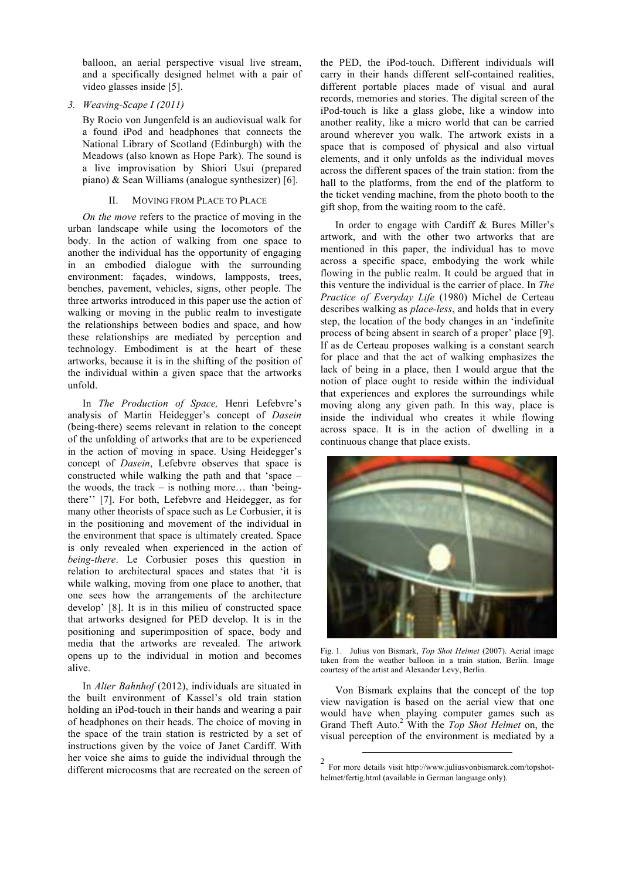balloon, an aerial perspective visual live stream, and a specifically designed helmet with a pair of video glasses inside [5].

#### *3. Weaving-Scape I (2011)*

By Rocio von Jungenfeld is an audiovisual walk for a found iPod and headphones that connects the National Library of Scotland (Edinburgh) with the Meadows (also known as Hope Park). The sound is a live improvisation by Shiori Usui (prepared piano) & Sean Williams (analogue synthesizer) [6].

#### II. MOVING FROM PLACE TO PLACE

*On the move* refers to the practice of moving in the urban landscape while using the locomotors of the body. In the action of walking from one space to another the individual has the opportunity of engaging in an embodied dialogue with the surrounding environment: façades, windows, lampposts, trees, benches, pavement, vehicles, signs, other people. The three artworks introduced in this paper use the action of walking or moving in the public realm to investigate the relationships between bodies and space, and how these relationships are mediated by perception and technology. Embodiment is at the heart of these artworks, because it is in the shifting of the position of the individual within a given space that the artworks unfold.

In *The Production of Space,* Henri Lefebvre's analysis of Martin Heidegger's concept of *Dasein* (being-there) seems relevant in relation to the concept of the unfolding of artworks that are to be experienced in the action of moving in space. Using Heidegger's concept of *Dasein*, Lefebvre observes that space is constructed while walking the path and that 'space – the woods, the track – is nothing more... than 'beingthere'' [7]. For both, Lefebvre and Heidegger, as for many other theorists of space such as Le Corbusier, it is in the positioning and movement of the individual in the environment that space is ultimately created. Space is only revealed when experienced in the action of *being-there*. Le Corbusier poses this question in relation to architectural spaces and states that 'it is while walking, moving from one place to another, that one sees how the arrangements of the architecture develop' [8]. It is in this milieu of constructed space that artworks designed for PED develop. It is in the positioning and superimposition of space, body and media that the artworks are revealed. The artwork opens up to the individual in motion and becomes alive.

In *Alter Bahnhof* (2012), individuals are situated in the built environment of Kassel's old train station holding an iPod-touch in their hands and wearing a pair of headphones on their heads. The choice of moving in the space of the train station is restricted by a set of instructions given by the voice of Janet Cardiff. With her voice she aims to guide the individual through the different microcosms that are recreated on the screen of

the PED, the iPod-touch. Different individuals will carry in their hands different self-contained realities, different portable places made of visual and aural records, memories and stories. The digital screen of the iPod-touch is like a glass globe, like a window into another reality, like a micro world that can be carried around wherever you walk. The artwork exists in a space that is composed of physical and also virtual elements, and it only unfolds as the individual moves across the different spaces of the train station: from the hall to the platforms, from the end of the platform to the ticket vending machine, from the photo booth to the gift shop, from the waiting room to the café.

In order to engage with Cardiff & Bures Miller's artwork, and with the other two artworks that are mentioned in this paper, the individual has to move across a specific space, embodying the work while flowing in the public realm. It could be argued that in this venture the individual is the carrier of place. In *The Practice of Everyday Life* (1980) Michel de Certeau describes walking as *place-less*, and holds that in every step, the location of the body changes in an 'indefinite process of being absent in search of a proper' place [9]. If as de Certeau proposes walking is a constant search for place and that the act of walking emphasizes the lack of being in a place, then I would argue that the notion of place ought to reside within the individual that experiences and explores the surroundings while moving along any given path. In this way, place is inside the individual who creates it while flowing across space. It is in the action of dwelling in a continuous change that place exists.



Fig. 1. Julius von Bismark, *Top Shot Helmet* (2007). Aerial image taken from the weather balloon in a train station, Berlin. Image courtesy of the artist and Alexander Levy, Berlin.

Von Bismark explains that the concept of the top view navigation is based on the aerial view that one would have when playing computer games such as Grand Theft Auto.<sup>2</sup> With the *Top Shot Helmet* on, the visual perception of the environment is mediated by a

-

<sup>2</sup> For more details visit http://www.juliusvonbismarck.com/topshothelmet/fertig.html (available in German language only).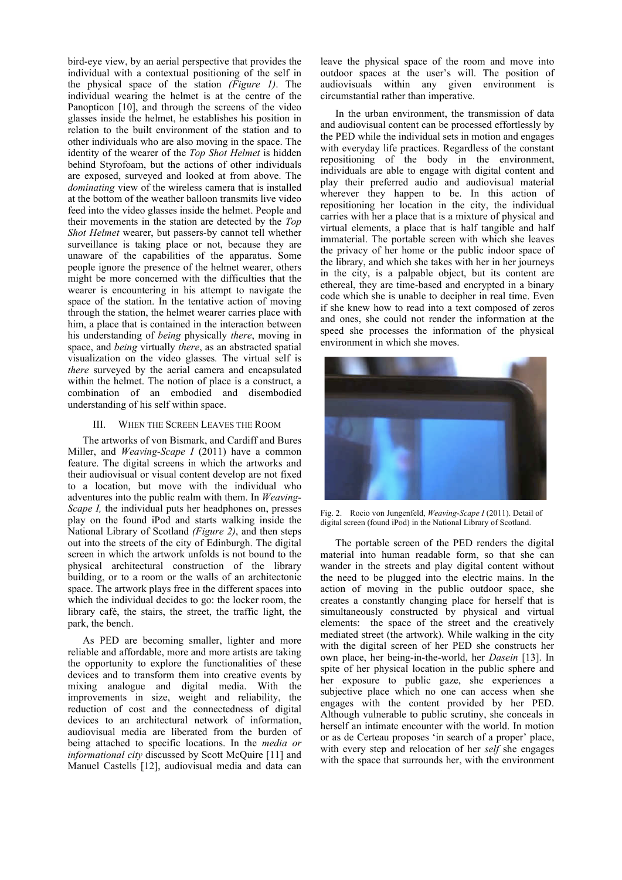bird-eye view, by an aerial perspective that provides the individual with a contextual positioning of the self in the physical space of the station *(Figure 1)*. The individual wearing the helmet is at the centre of the Panopticon [10], and through the screens of the video glasses inside the helmet, he establishes his position in relation to the built environment of the station and to other individuals who are also moving in the space. The identity of the wearer of the *Top Shot Helmet* is hidden behind Styrofoam, but the actions of other individuals are exposed, surveyed and looked at from above. The *dominating* view of the wireless camera that is installed at the bottom of the weather balloon transmits live video feed into the video glasses inside the helmet. People and their movements in the station are detected by the *Top Shot Helmet* wearer, but passers-by cannot tell whether surveillance is taking place or not, because they are unaware of the capabilities of the apparatus. Some people ignore the presence of the helmet wearer, others might be more concerned with the difficulties that the wearer is encountering in his attempt to navigate the space of the station. In the tentative action of moving through the station, the helmet wearer carries place with him, a place that is contained in the interaction between his understanding of *being* physically *there*, moving in space, and *being* virtually *there*, as an abstracted spatial visualization on the video glasses*.* The virtual self is *there* surveyed by the aerial camera and encapsulated within the helmet. The notion of place is a construct, a combination of an embodied and disembodied understanding of his self within space.

#### III. WHEN THE SCREEN LEAVES THE ROOM

The artworks of von Bismark, and Cardiff and Bures Miller, and *Weaving-Scape I* (2011) have a common feature. The digital screens in which the artworks and their audiovisual or visual content develop are not fixed to a location, but move with the individual who adventures into the public realm with them. In *Weaving-Scape I,* the individual puts her headphones on, presses play on the found iPod and starts walking inside the National Library of Scotland *(Figure 2)*, and then steps out into the streets of the city of Edinburgh. The digital screen in which the artwork unfolds is not bound to the physical architectural construction of the library building, or to a room or the walls of an architectonic space. The artwork plays free in the different spaces into which the individual decides to go: the locker room, the library café, the stairs, the street, the traffic light, the park, the bench.

As PED are becoming smaller, lighter and more reliable and affordable, more and more artists are taking the opportunity to explore the functionalities of these devices and to transform them into creative events by mixing analogue and digital media. With the improvements in size, weight and reliability, the reduction of cost and the connectedness of digital devices to an architectural network of information, audiovisual media are liberated from the burden of being attached to specific locations. In the *media or informational city* discussed by Scott McQuire [11] and Manuel Castells [12], audiovisual media and data can

leave the physical space of the room and move into outdoor spaces at the user's will. The position of audiovisuals within any given environment is circumstantial rather than imperative.

In the urban environment, the transmission of data and audiovisual content can be processed effortlessly by the PED while the individual sets in motion and engages with everyday life practices. Regardless of the constant repositioning of the body in the environment, individuals are able to engage with digital content and play their preferred audio and audiovisual material wherever they happen to be. In this action of repositioning her location in the city, the individual carries with her a place that is a mixture of physical and virtual elements, a place that is half tangible and half immaterial. The portable screen with which she leaves the privacy of her home or the public indoor space of the library, and which she takes with her in her journeys in the city, is a palpable object, but its content are ethereal, they are time-based and encrypted in a binary code which she is unable to decipher in real time. Even if she knew how to read into a text composed of zeros and ones, she could not render the information at the speed she processes the information of the physical environment in which she moves.



Fig. 2. Rocio von Jungenfeld, *Weaving-Scape I* (2011). Detail of digital screen (found iPod) in the National Library of Scotland.

The portable screen of the PED renders the digital material into human readable form, so that she can wander in the streets and play digital content without the need to be plugged into the electric mains. In the action of moving in the public outdoor space, she creates a constantly changing place for herself that is simultaneously constructed by physical and virtual elements: the space of the street and the creatively mediated street (the artwork). While walking in the city with the digital screen of her PED she constructs her own place, her being-in-the-world, her *Dasein* [13]. In spite of her physical location in the public sphere and her exposure to public gaze, she experiences a subjective place which no one can access when she engages with the content provided by her PED. Although vulnerable to public scrutiny, she conceals in herself an intimate encounter with the world. In motion or as de Certeau proposes 'in search of a proper' place, with every step and relocation of her *self* she engages with the space that surrounds her, with the environment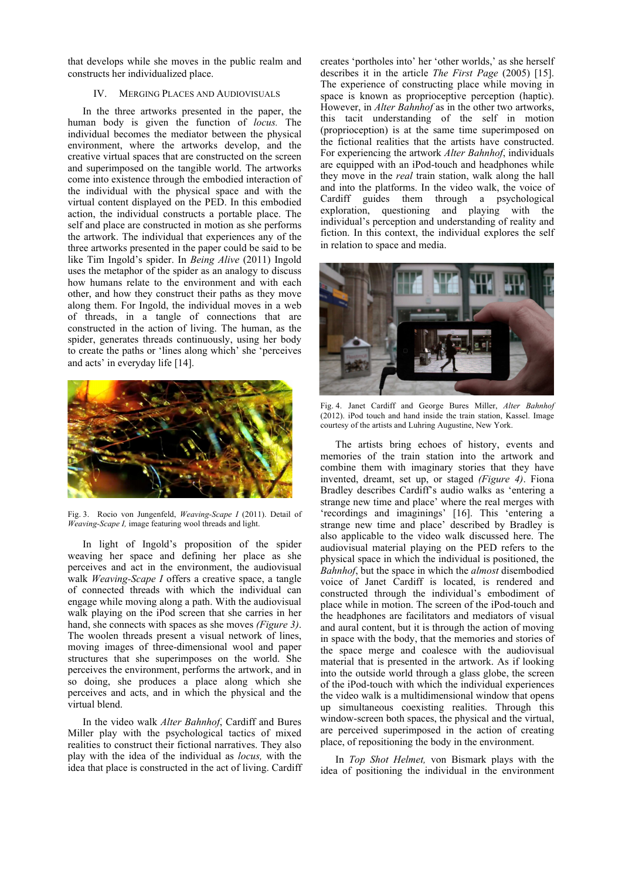that develops while she moves in the public realm and constructs her individualized place.

#### IV. MERGING PLACES AND AUDIOVISUALS

In the three artworks presented in the paper, the human body is given the function of *locus.* The individual becomes the mediator between the physical environment, where the artworks develop, and the creative virtual spaces that are constructed on the screen and superimposed on the tangible world. The artworks come into existence through the embodied interaction of the individual with the physical space and with the virtual content displayed on the PED. In this embodied action, the individual constructs a portable place. The self and place are constructed in motion as she performs the artwork. The individual that experiences any of the three artworks presented in the paper could be said to be like Tim Ingold's spider. In *Being Alive* (2011) Ingold uses the metaphor of the spider as an analogy to discuss how humans relate to the environment and with each other, and how they construct their paths as they move along them. For Ingold, the individual moves in a web of threads, in a tangle of connections that are constructed in the action of living. The human, as the spider, generates threads continuously, using her body to create the paths or 'lines along which' she 'perceives and acts' in everyday life [14].



Fig. 3. Rocio von Jungenfeld, *Weaving-Scape I* (2011). Detail of *Weaving-Scape I,* image featuring wool threads and light.

In light of Ingold's proposition of the spider weaving her space and defining her place as she perceives and act in the environment, the audiovisual walk *Weaving-Scape I* offers a creative space, a tangle of connected threads with which the individual can engage while moving along a path. With the audiovisual walk playing on the iPod screen that she carries in her hand, she connects with spaces as she moves *(Figure 3)*. The woolen threads present a visual network of lines, moving images of three-dimensional wool and paper structures that she superimposes on the world. She perceives the environment, performs the artwork, and in so doing, she produces a place along which she perceives and acts, and in which the physical and the virtual blend.

In the video walk *Alter Bahnhof*, Cardiff and Bures Miller play with the psychological tactics of mixed realities to construct their fictional narratives. They also play with the idea of the individual as *locus,* with the idea that place is constructed in the act of living. Cardiff creates 'portholes into' her 'other worlds,' as she herself describes it in the article *The First Page* (2005) [15]. The experience of constructing place while moving in space is known as proprioceptive perception (haptic). However, in *Alter Bahnhof* as in the other two artworks, this tacit understanding of the self in motion (proprioception) is at the same time superimposed on the fictional realities that the artists have constructed. For experiencing the artwork *Alter Bahnhof*, individuals are equipped with an iPod-touch and headphones while they move in the *real* train station, walk along the hall and into the platforms. In the video walk, the voice of Cardiff guides them through a psychological exploration, questioning and playing with the individual's perception and understanding of reality and fiction. In this context, the individual explores the self in relation to space and media.



Fig. 4. Janet Cardiff and George Bures Miller, *Alter Bahnhof*  (2012). iPod touch and hand inside the train station, Kassel. Image courtesy of the artists and Luhring Augustine, New York.

The artists bring echoes of history, events and memories of the train station into the artwork and combine them with imaginary stories that they have invented, dreamt, set up, or staged *(Figure 4)*. Fiona Bradley describes Cardiff's audio walks as 'entering a strange new time and place' where the real merges with 'recordings and imaginings' [16]. This 'entering a strange new time and place' described by Bradley is also applicable to the video walk discussed here. The audiovisual material playing on the PED refers to the physical space in which the individual is positioned, the *Bahnhof*, but the space in which the *almost* disembodied voice of Janet Cardiff is located, is rendered and constructed through the individual's embodiment of place while in motion. The screen of the iPod-touch and the headphones are facilitators and mediators of visual and aural content, but it is through the action of moving in space with the body, that the memories and stories of the space merge and coalesce with the audiovisual material that is presented in the artwork. As if looking into the outside world through a glass globe, the screen of the iPod-touch with which the individual experiences the video walk is a multidimensional window that opens up simultaneous coexisting realities. Through this window-screen both spaces, the physical and the virtual, are perceived superimposed in the action of creating place, of repositioning the body in the environment.

In *Top Shot Helmet,* von Bismark plays with the idea of positioning the individual in the environment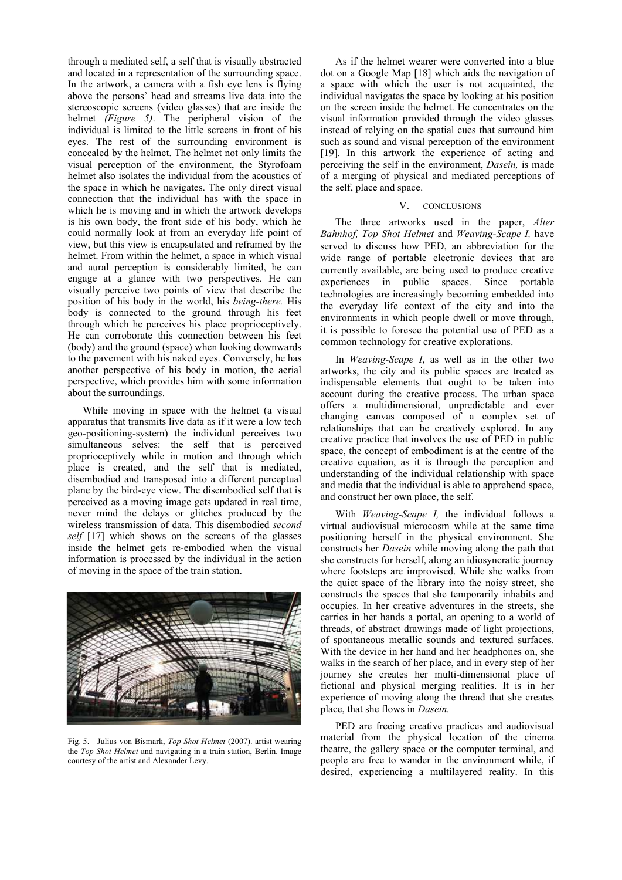through a mediated self, a self that is visually abstracted and located in a representation of the surrounding space. In the artwork, a camera with a fish eye lens is flying above the persons' head and streams live data into the stereoscopic screens (video glasses) that are inside the helmet *(Figure 5)*. The peripheral vision of the individual is limited to the little screens in front of his eyes. The rest of the surrounding environment is concealed by the helmet. The helmet not only limits the visual perception of the environment, the Styrofoam helmet also isolates the individual from the acoustics of the space in which he navigates. The only direct visual connection that the individual has with the space in which he is moving and in which the artwork develops is his own body, the front side of his body, which he could normally look at from an everyday life point of view, but this view is encapsulated and reframed by the helmet. From within the helmet, a space in which visual and aural perception is considerably limited, he can engage at a glance with two perspectives. He can visually perceive two points of view that describe the position of his body in the world, his *being-there.* His body is connected to the ground through his feet through which he perceives his place proprioceptively. He can corroborate this connection between his feet (body) and the ground (space) when looking downwards to the pavement with his naked eyes. Conversely, he has another perspective of his body in motion, the aerial perspective, which provides him with some information about the surroundings.

While moving in space with the helmet (a visual apparatus that transmits live data as if it were a low tech geo-positioning-system) the individual perceives two simultaneous selves: the self that is perceived proprioceptively while in motion and through which place is created, and the self that is mediated, disembodied and transposed into a different perceptual plane by the bird-eye view. The disembodied self that is perceived as a moving image gets updated in real time, never mind the delays or glitches produced by the wireless transmission of data. This disembodied *second self* [17] which shows on the screens of the glasses inside the helmet gets re-embodied when the visual information is processed by the individual in the action of moving in the space of the train station.



Fig. 5. Julius von Bismark, *Top Shot Helmet* (2007). artist wearing the *Top Shot Helmet* and navigating in a train station, Berlin. Image courtesy of the artist and Alexander Levy.

As if the helmet wearer were converted into a blue dot on a Google Map [18] which aids the navigation of a space with which the user is not acquainted, the individual navigates the space by looking at his position on the screen inside the helmet. He concentrates on the visual information provided through the video glasses instead of relying on the spatial cues that surround him such as sound and visual perception of the environment [19]. In this artwork the experience of acting and perceiving the self in the environment, *Dasein,* is made of a merging of physical and mediated perceptions of the self, place and space.

#### V. CONCLUSIONS

The three artworks used in the paper, Alter *Bahnhof, Top Shot Helmet* and *Weaving-Scape I,* have served to discuss how PED, an abbreviation for the wide range of portable electronic devices that are currently available, are being used to produce creative experiences in public spaces. Since portable technologies are increasingly becoming embedded into the everyday life context of the city and into the environments in which people dwell or move through, it is possible to foresee the potential use of PED as a common technology for creative explorations.

In *Weaving-Scape I*, as well as in the other two artworks, the city and its public spaces are treated as indispensable elements that ought to be taken into account during the creative process. The urban space offers a multidimensional, unpredictable and ever changing canvas composed of a complex set of relationships that can be creatively explored. In any creative practice that involves the use of PED in public space, the concept of embodiment is at the centre of the creative equation, as it is through the perception and understanding of the individual relationship with space and media that the individual is able to apprehend space, and construct her own place, the self.

With *Weaving-Scape I,* the individual follows a virtual audiovisual microcosm while at the same time positioning herself in the physical environment. She constructs her *Dasein* while moving along the path that she constructs for herself, along an idiosyncratic journey where footsteps are improvised. While she walks from the quiet space of the library into the noisy street, she constructs the spaces that she temporarily inhabits and occupies. In her creative adventures in the streets, she carries in her hands a portal, an opening to a world of threads, of abstract drawings made of light projections, of spontaneous metallic sounds and textured surfaces. With the device in her hand and her headphones on, she walks in the search of her place, and in every step of her journey she creates her multi-dimensional place of fictional and physical merging realities. It is in her experience of moving along the thread that she creates place, that she flows in *Dasein.*

PED are freeing creative practices and audiovisual material from the physical location of the cinema theatre, the gallery space or the computer terminal, and people are free to wander in the environment while, if desired, experiencing a multilayered reality. In this